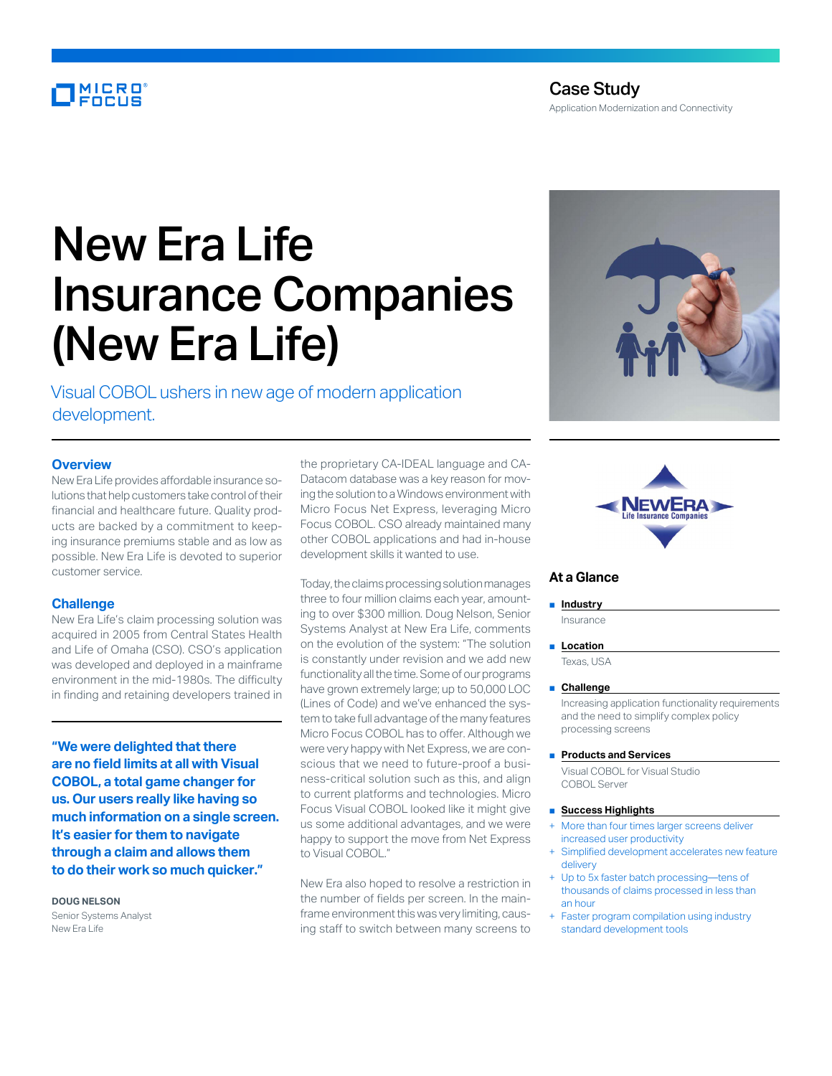# **MICRO**<br>FOCUS

# New Era Life Insurance Companies (New Era Life)

Visual COBOL ushers in new age of modern application development.

# **Overview**

New Era Life provides affordable insurance solutions that help customers take control of their financial and healthcare future. Quality products are backed by a commitment to keeping insurance premiums stable and as low as possible. New Era Life is devoted to superior customer service.

# **Challenge**

New Era Life's claim processing solution was acquired in 2005 from Central States Health and Life of Omaha (CSO). CSO's application was developed and deployed in a mainframe environment in the mid-1980s. The difficulty in finding and retaining developers trained in

**"We were delighted that there are no field limits at all with Visual COBOL, a total game changer for us. Our users really like having so much information on a single screen. It's easier for them to navigate through a claim and allows them to do their work so much quicker."**

# **DOUG NELSON**

Senior Systems Analyst New Era Life

the proprietary CA-IDEAL language and CA-Datacom database was a key reason for moving the solution to a Windows environment with Micro Focus Net Express, leveraging Micro Focus COBOL. CSO already maintained many other COBOL applications and had in-house development skills it wanted to use.

Today, the claims processing solution manages three to four million claims each year, amounting to over \$300 million. Doug Nelson, Senior Systems Analyst at New Era Life, comments on the evolution of the system: "The solution is constantly under revision and we add new functionality all the time. Some of our programs have grown extremely large; up to 50,000 LOC (Lines of Code) and we've enhanced the system to take full advantage of the many features Micro Focus COBOL has to offer. Although we were very happy with Net Express, we are conscious that we need to future-proof a business-critical solution such as this, and align to current platforms and technologies. Micro Focus Visual COBOL looked like it might give us some additional advantages, and we were happy to support the move from Net Express to Visual COBOL."

New Era also hoped to resolve a restriction in the number of fields per screen. In the mainframe environment this was very limiting, causing staff to switch between many screens to





# **At a Glance**

# ■ **Industry**

Insurance

#### ■ **Location**

Texas, USA

#### ■ **Challenge**

Increasing application functionality requirements and the need to simplify complex policy processing screens

#### ■ **Products and Services**

Visual COBOL for Visual Studio COBOL Server

#### ■ **Success Highlights**

- More than four times larger screens deliver increased user productivity
- Simplified development accelerates new feature delivery
- Up to 5x faster batch processing—tens of thousands of claims processed in less than an hour
- Faster program compilation using industry standard development tools